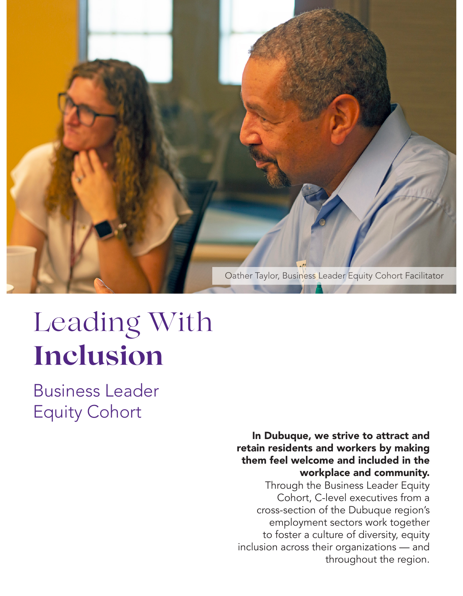

# Leading With **Inclusion**

Business Leader Equity Cohort

> In Dubuque, we strive to attract and retain residents and workers by making them feel welcome and included in the workplace and community.

> Through the Business Leader Equity Cohort, C-level executives from a cross-section of the Dubuque region's employment sectors work together to foster a culture of diversity, equity inclusion across their organizations — and throughout the region.